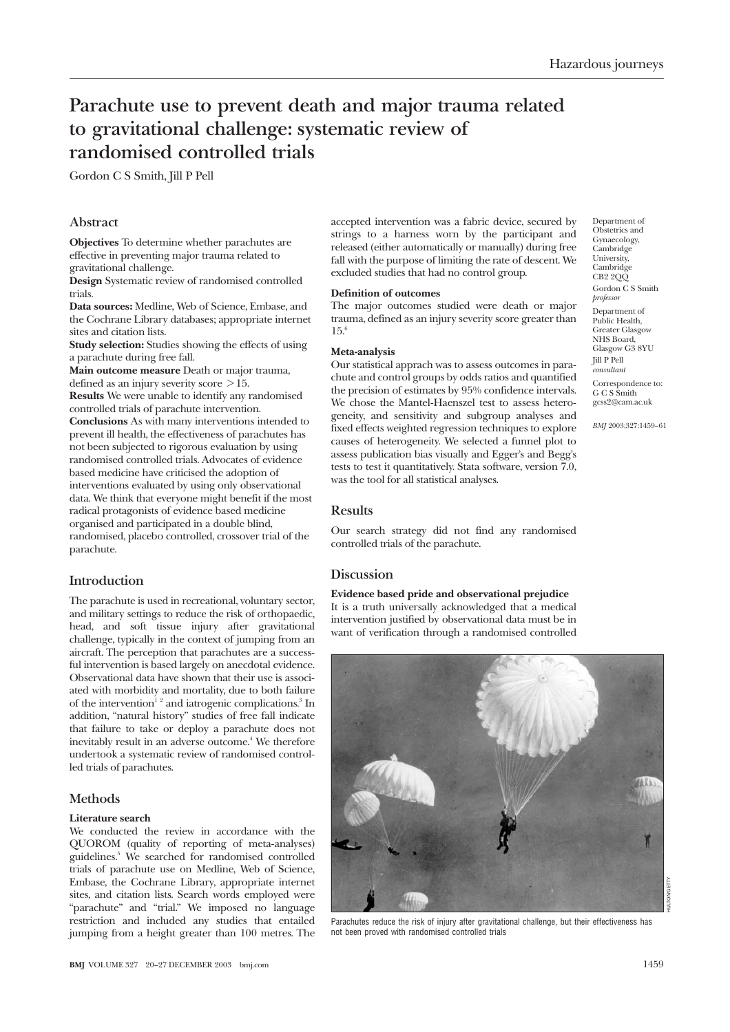# **Parachute use to prevent death and major trauma related to gravitational challenge: systematic review of randomised controlled trials**

Gordon C S Smith, Jill P Pell

# **Abstract**

**Objectives** To determine whether parachutes are effective in preventing major trauma related to gravitational challenge.

**Design** Systematic review of randomised controlled trials.

**Data sources:** Medline, Web of Science, Embase, and the Cochrane Library databases; appropriate internet sites and citation lists.

**Study selection:** Studies showing the effects of using a parachute during free fall.

**Main outcome measure** Death or major trauma, defined as an injury severity score  $>15$ .

**Results** We were unable to identify any randomised controlled trials of parachute intervention.

**Conclusions** As with many interventions intended to prevent ill health, the effectiveness of parachutes has not been subjected to rigorous evaluation by using randomised controlled trials. Advocates of evidence based medicine have criticised the adoption of interventions evaluated by using only observational data. We think that everyone might benefit if the most radical protagonists of evidence based medicine organised and participated in a double blind, randomised, placebo controlled, crossover trial of the parachute.

# **Introduction**

The parachute is used in recreational, voluntary sector, and military settings to reduce the risk of orthopaedic, head, and soft tissue injury after gravitational challenge, typically in the context of jumping from an aircraft. The perception that parachutes are a successful intervention is based largely on anecdotal evidence. Observational data have shown that their use is associated with morbidity and mortality, due to both failure of the intervention<sup>12</sup> and iatrogenic complications.<sup>3</sup> In addition, "natural history" studies of free fall indicate that failure to take or deploy a parachute does not inevitably result in an adverse outcome.<sup>4</sup> We therefore undertook a systematic review of randomised controlled trials of parachutes.

# **Methods**

#### **Literature search**

We conducted the review in accordance with the QUOROM (quality of reporting of meta-analyses) guidelines.5 We searched for randomised controlled trials of parachute use on Medline, Web of Science, Embase, the Cochrane Library, appropriate internet sites, and citation lists. Search words employed were "parachute" and "trial." We imposed no language restriction and included any studies that entailed jumping from a height greater than 100 metres. The

accepted intervention was a fabric device, secured by strings to a harness worn by the participant and released (either automatically or manually) during free fall with the purpose of limiting the rate of descent. We excluded studies that had no control group.

#### **Definition of outcomes**

The major outcomes studied were death or major trauma, defined as an injury severity score greater than 15.6

#### **Meta-analysis**

Our statistical apprach was to assess outcomes in parachute and control groups by odds ratios and quantified the precision of estimates by 95% confidence intervals. We chose the Mantel-Haenszel test to assess heterogeneity, and sensitivity and subgroup analyses and fixed effects weighted regression techniques to explore causes of heterogeneity. We selected a funnel plot to assess publication bias visually and Egger's and Begg's tests to test it quantitatively. Stata software, version 7.0, was the tool for all statistical analyses.

## **Results**

Our search strategy did not find any randomised controlled trials of the parachute.

## **Discussion**

**Evidence based pride and observational prejudice** It is a truth universally acknowledged that a medical intervention justified by observational data must be in want of verification through a randomised controlled



Parachutes reduce the risk of injury after gravitational challenge, but their effectiveness has not been proved with randomised controlled trials

*BMJ* 2003;327:1459–61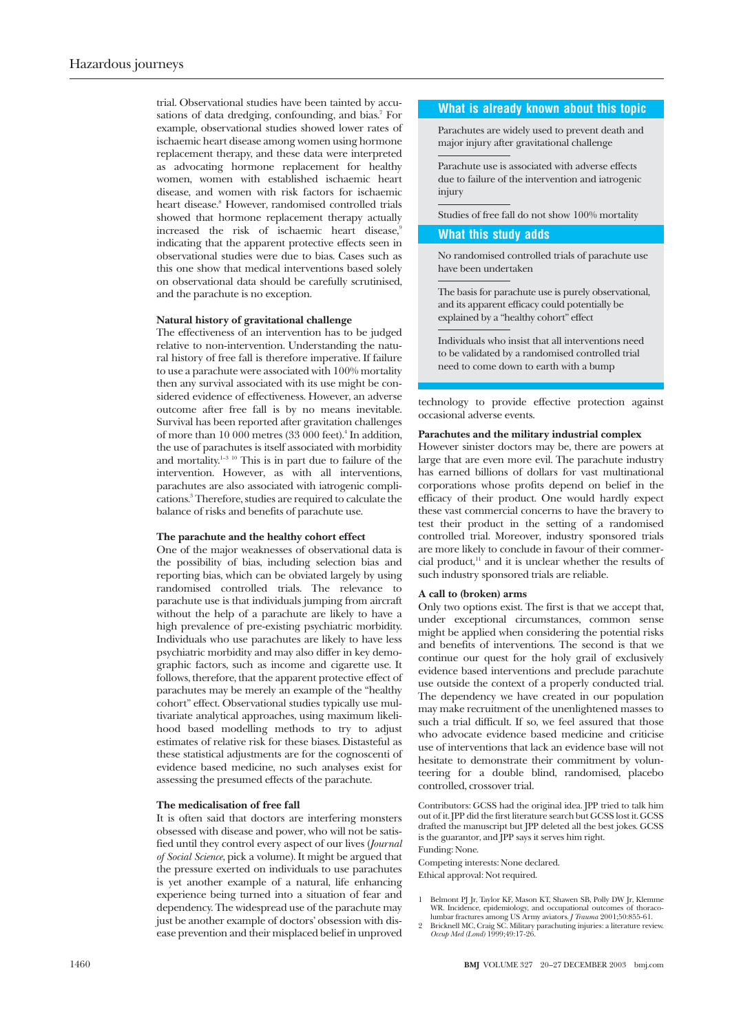trial. Observational studies have been tainted by accusations of data dredging, confounding, and bias.<sup>7</sup> For example, observational studies showed lower rates of ischaemic heart disease among women using hormone replacement therapy, and these data were interpreted as advocating hormone replacement for healthy women, women with established ischaemic heart disease, and women with risk factors for ischaemic heart disease.<sup>8</sup> However, randomised controlled trials showed that hormone replacement therapy actually increased the risk of ischaemic heart disease,<sup>9</sup> indicating that the apparent protective effects seen in observational studies were due to bias. Cases such as this one show that medical interventions based solely on observational data should be carefully scrutinised, and the parachute is no exception.

#### **Natural history of gravitational challenge**

The effectiveness of an intervention has to be judged relative to non-intervention. Understanding the natural history of free fall is therefore imperative. If failure to use a parachute were associated with 100% mortality then any survival associated with its use might be considered evidence of effectiveness. However, an adverse outcome after free fall is by no means inevitable. Survival has been reported after gravitation challenges of more than 10 000 metres (33 000 feet).4 In addition, the use of parachutes is itself associated with morbidity and mortality.<sup>1–3 10</sup> This is in part due to failure of the intervention. However, as with all interventions, parachutes are also associated with iatrogenic complications.3 Therefore, studies are required to calculate the balance of risks and benefits of parachute use.

#### **The parachute and the healthy cohort effect**

One of the major weaknesses of observational data is the possibility of bias, including selection bias and reporting bias, which can be obviated largely by using randomised controlled trials. The relevance to parachute use is that individuals jumping from aircraft without the help of a parachute are likely to have a high prevalence of pre-existing psychiatric morbidity. Individuals who use parachutes are likely to have less psychiatric morbidity and may also differ in key demographic factors, such as income and cigarette use. It follows, therefore, that the apparent protective effect of parachutes may be merely an example of the "healthy cohort" effect. Observational studies typically use multivariate analytical approaches, using maximum likelihood based modelling methods to try to adjust estimates of relative risk for these biases. Distasteful as these statistical adjustments are for the cognoscenti of evidence based medicine, no such analyses exist for assessing the presumed effects of the parachute.

#### **The medicalisation of free fall**

It is often said that doctors are interfering monsters obsessed with disease and power, who will not be satisfied until they control every aspect of our lives (*Journal of Social Science*, pick a volume). It might be argued that the pressure exerted on individuals to use parachutes is yet another example of a natural, life enhancing experience being turned into a situation of fear and dependency. The widespread use of the parachute may just be another example of doctors' obsession with disease prevention and their misplaced belief in unproved

## **What is already known about this topic**

Parachutes are widely used to prevent death and major injury after gravitational challenge

Parachute use is associated with adverse effects due to failure of the intervention and iatrogenic injury

Studies of free fall do not show 100% mortality

### **What this study adds**

No randomised controlled trials of parachute use have been undertaken

The basis for parachute use is purely observational, and its apparent efficacy could potentially be explained by a "healthy cohort" effect

Individuals who insist that all interventions need to be validated by a randomised controlled trial need to come down to earth with a bump

technology to provide effective protection against occasional adverse events.

## **Parachutes and the military industrial complex**

However sinister doctors may be, there are powers at large that are even more evil. The parachute industry has earned billions of dollars for vast multinational corporations whose profits depend on belief in the efficacy of their product. One would hardly expect these vast commercial concerns to have the bravery to test their product in the setting of a randomised controlled trial. Moreover, industry sponsored trials are more likely to conclude in favour of their commercial product. $11$  and it is unclear whether the results of such industry sponsored trials are reliable.

#### **A call to (broken) arms**

Only two options exist. The first is that we accept that, under exceptional circumstances, common sense might be applied when considering the potential risks and benefits of interventions. The second is that we continue our quest for the holy grail of exclusively evidence based interventions and preclude parachute use outside the context of a properly conducted trial. The dependency we have created in our population may make recruitment of the unenlightened masses to such a trial difficult. If so, we feel assured that those who advocate evidence based medicine and criticise use of interventions that lack an evidence base will not hesitate to demonstrate their commitment by volunteering for a double blind, randomised, placebo controlled, crossover trial.

Contributors: GCSS had the original idea. JPP tried to talk him out of it. JPP did the first literature search but GCSS lost it. GCSS drafted the manuscript but JPP deleted all the best jokes. GCSS is the guarantor, and JPP says it serves him right. Funding: None.

Competing interests: None declared.

Ethical approval: Not required.

- 1 Belmont PJ Jr, Taylor KF, Mason KT, Shawen SB, Polly DW Jr, Klemme<br>WR. Incidence, epidemiology, and occupational outcomes of thoraco-<br>lumbar fractures among US Army aviators. *J Trauma* 2001;50:855-61.<br>2 Bricknell MC, Cr
-